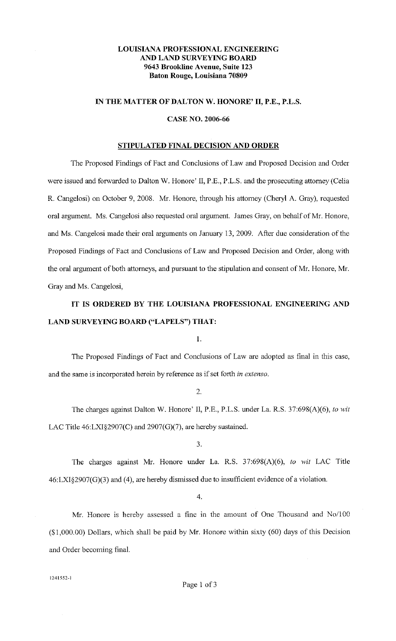# **LOUISIANA PROFESSIONAL ENGINEERING AND LAND SURVEYING BOARD 9643 Brookline Avenue, Suite 123 Baton Rouge, Louisiana 70809**

## **IN THE MATTER OF DALTON W. HONORE' II, P.E., P.L.S.**

## **CASE NO. 2006-66**

## **STIPULATED FINAL DECISION AND ORDER**

The Proposed Findings of Fact and Conclusions of Law and Proposed Decision and Order were issued and forwarded to Dalton W. Honore' II, P.E., P.L.S. and the prosecuting attorney (Celia R. Cangelosi) on October 9, 2008. Mr. Honore, through his attorney (Cheryl A. Gray), requested oral argument. Ms. Cangelosi also requested oral argument. James Gray, on behalf of Mr. Honore, and Ms. Cangelosi made their oral arguments on January 13, 2009. After due consideration of the Proposed Findings of Fact and Conclusions of Law and Proposed Decision and Order, along with the oral argument of both attorneys, and pursuant to the stipulation and consent of Mr. Honore, Mr. Gray and Ms. Cangelosi,

# **IT IS ORDERED BY THE LOUISIANA PROFESSIONAL ENGINEERING AND LAND SURVEYING BOARD ("LAPELS") THAT:**

I.

The Proposed Findings of Fact and Conclusions of Law are adopted as final in this case, and the same is incorporated herein by reference as if set forth *in extenso.* 

2.

The charges against Dalton W. Honore' II, P.E., P.L.S. under La. R.S. 37:698(A)(6), *to wit*  LAC Title 46:LXI§2907(C) and 2907(G)(7), are hereby sustained.

3.

The charges against Mr. Honore under La. R.S. 37:698(A)(6), *to wit* LAC Title  $46: LXI\&2907(G)(3)$  and (4), are hereby dismissed due to insufficient evidence of a violation.

4.

Mr. Honore is hereby assessed a fine in the amount of One Thousand and No/100 (\$1,000.00) Dollars, which shall be paid by Mr. Honore within sixty (60) days of this Decision and Order becoming final.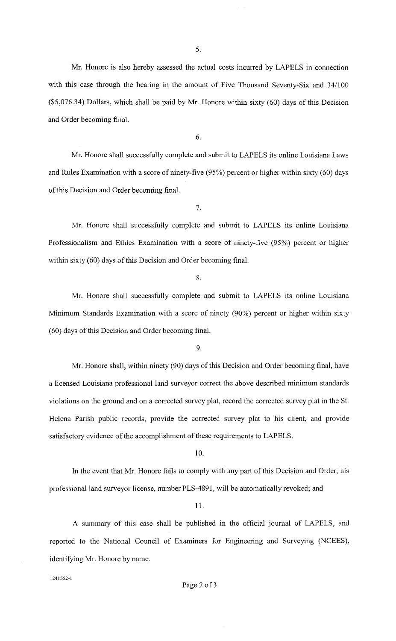5.

Mr. Honore is also hereby assessed the actual costs incurred by LAPELS in connection with this case through the hearing in the amount of Five Thousand Seventy-Six and 34/100 (\$5,076.34) Dollars, which shall be paid by Mr. Honore within sixty (60) days of this Decision and Order becoming final.

6.

Mr. Honore shall successfully complete and submit to LAPELS its online Louisiana Laws and Rules Examination with a score of ninety-five (95%) percent or higher within sixty (60) days of this Decision and Order becoming final.

7.

Mr. Honore shall successfully complete and submit to LAPELS its online Louisiana Professionalism and Ethics Examination with a score of ninety-five (95%) percent or higher within sixty (60) days of this Decision and Order becoming final.

8.

Mr. Honore shall successfully complete and submit to LAPELS its online Louisiana Minimum Standards Examination with a score of ninety (90%) percent or higher within sixty (60) days of this Decision and Order becoming final.

9.

Mr. Honore shall, within ninety (90) days of this Decision and Order becoming final, have a licensed Louisiana professional land surveyor correct the above described minimum standards violations on the ground and on a corrected survey plat, record the corrected survey plat in the St. Helena Parish public records, provide the corrected survey plat to his client, and provide satisfactory evidence of the accomplishment of these requirements to LAPELS.

10.

In the event that Mr. Honore fails to comply with any part of this Decision and Order, his professional land surveyor license, number PLS-4891, will be automatically revoked; and

11.

A summary of this case shall be published in the official journal of LAPELS, and reported to the National Council of Examiners for Engineering and Surveying (NCEES), identifying Mr. Honore by name.

**1241552-l**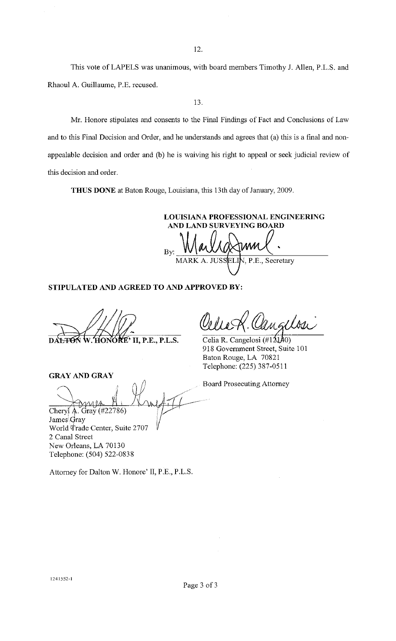12.

This vote of LAPELS was unanimous, with board members Timothy J. Allen, P.L.S. and Rhaoul A. Guillaume, P.E. recused.

13.

Mr. Honore stipulates and consents to the Final Findings of Fact and Conclusions of Law and to this Final Decision and Order, and he understands and agrees that (a) this is a final and nonappealable decision and order and (b) he is waiving his right to appeal or seek judicial review of this decision and order.

**THUS DONE** at Baton Rouge, Louisiana, this 13th day of January, 2009.

**LOUISIANA PROFESSIONAL ENGINEERING AND LAND SURVEYING BOARD**   $_{\text{By:}}$  Marlig from  $\chi$ . MARK A. IHS P.E., Secretary

Celia R. Cangelosi  $(\#12140)$ 918 Government Street, Suite 101

Baton Rouge, LA 70821 Telephone: (225) 387-0511

**STIPULATED AND AGREED TO AND APPROVED BY:** 

**KE' II, P.E., P.L.S.** 

# **GRAY AND GRAY**

 $\frac{C$ heryl A. Gray (#22786) James<sup>Qray</sup> World Trade Center, Suite 2707 Board Prosecuting Attorney

2 Canal Street New Orleans, LA 70130 Telephone: (504) 522-0838

Attorney for Dalton W. Honore' II, P.E., P.L.S.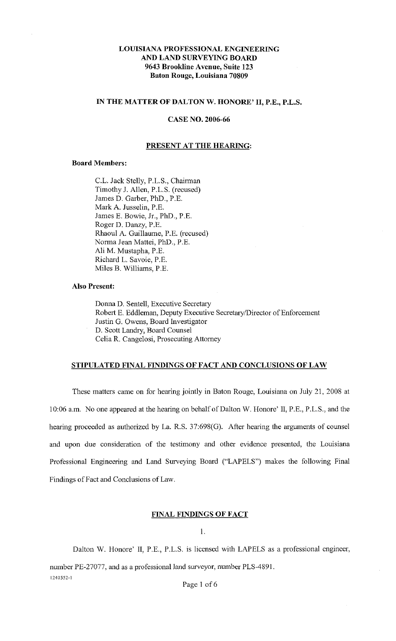# **LOUISIANA PROFESSIONAL ENGINEERING AND LAND SURVEYING BOARD 9643 Brookline Avenue, Suite 123 Baton Rouge, Louisiana 70809**

## **IN THE MATTER OF DALTON W. HONORE' II, P.E., P.L.S.**

## **CASE NO. 2006-66**

## **PRESENT AT THE HEARING:**

## **Board Members:**

C.L. Jack Stelly, P.L.S., Chairman Timothy J. Allen, P.L.S. (recused) James D. Garber, PhD., P.E. Mark A. Jusselin, P.E. James E. Bowie, Jr., PhD., P.E. Roger D. Danzy, P.E. Rhaoul A. Guillaume, P.E. (recused) Norma Jean Mattei, PhD., P.E. Ali M. Mustapha, P.E. Richard L. Savoie, P.E. Miles B. Williams, P.E.

## **Also Present:**

Donna D. Sentell, Executive Secretary Robert E. Eddleman, Deputy Executive Secretary/Director of Enforcement Justin G. Owens, Board Investigator D. Scott Landry, Board Counsel Celia R. Cangelosi, Prosecuting Attorney

## **STIPULATED FINAL FINDINGS OF FACT AND CONCLUSIONS OF LAW**

These matters came on for hearing jointly in Baton Rouge, Louisiana on July 21, 2008 at 10:06 a.m. No one appeared at the hearing on behalf of Dalton W. Honore' II, P.E., P.L.S., and the hearing proceeded as authorized by La. R.S. 37:698(G). After hearing the arguments of counsel and upon due consideration of the testimony and other evidence presented, the Louisiana Professional Engineering and Land Surveying Board ("LAPELS") makes the following Final Findings of Fact and Conclusions of Law.

## **FINAL FINDINGS OF FACT**

1.

Dalton W. Honore' II, P.E., P.L.S. is licensed with LAPELS as a professional engineer,

number PE-27077, and as a professional land surveyor, number PLS-4891. **1241552-1** 

Page 1 of 6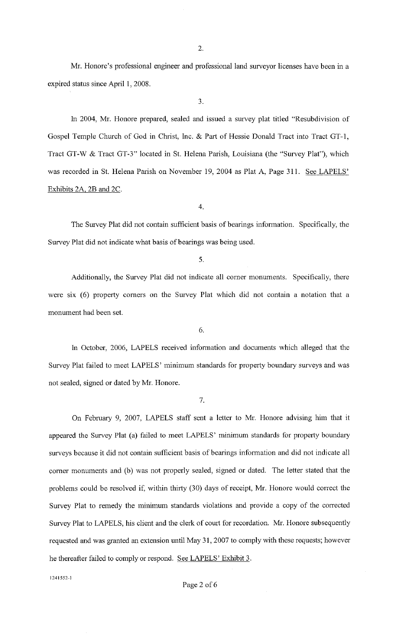Mr. Honore's professional engineer and professional land surveyor licenses have been in a expired status since April **1,** 2008.

3.

In 2004, Mr. Honore prepared, sealed and issued a survey plat titled "Resubdivision of Gospel Temple Church of God in Christ, Inc. & Part of Hessie Donald Tract into Tract GT-1, Tract GT-W & Tract GT-3" located in St. Helena Parish, Louisiana (the "Survey Plat"), which was recorded in St. Helena Parish on November 19, 2004 as Plat A, Page 311. See LAPELS' Exhibits 2A, 2B and 2C.

4.

The Survey Plat did not contain sufficient basis of bearings information. Specifically, the Survey Plat did not indicate what basis of bearings was being used.

5.

Additionally, the Survey Plat did not indicate all corner monuments. Specifically, there were six (6) property corners on the Survey Plat which did not contain a notation that a monument had been set.

6.

In October, 2006, LAPELS received information and documents which alleged that the Survey Plat failed to meet LAPELS' minimum standards for property boundary surveys and was not sealed, signed or dated by Mr. Honore.

7.

On February 9, 2007, LAPELS staff sent a letter to Mr. Honore advising him that it appeared the Survey Plat (a) failed to meet LAPELS' minimum standards for property boundary surveys because it did not contain sufficient basis of bearings information and did not indicate all corner monuments and (b) was not properly sealed, signed or dated. The letter stated that the problems could be resolved if, within thirty (30) days of receipt, Mr. Honore would correct the Survey Plat to remedy the minimum standards violations and provide a copy of the corrected Survey Plat to LAPELS, his client and the clerk of court for recordation. Mr. Honore subsequently requested and was granted an extension until May 31, 2007 to comply with these requests; however he thereafter failed to comply or respond. See LAPELS' Exhibit 3.

**124 I 552-1**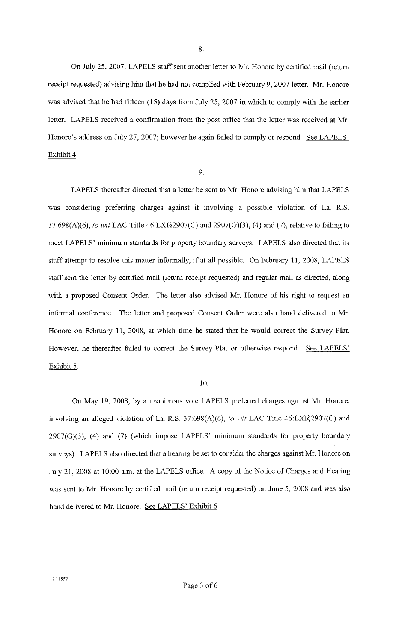On July 25, 2007, LAPELS staff sent another letter to Mr. Honore by certified mail (return receipt requested) advising him that he had not complied with February 9, 2007 letter. Mr. Honore was advised that he had fifteen (15) days from July 25, 2007 in which to comply with the earlier letter. LAPELS received a confirmation from the post office that the letter was received at Mr. Honore's address on July 27, 2007; however he again failed to comply or respond. See LAPELS' Exhibit 4.

#### 9.

LAPELS thereafter directed that a letter be sent to Mr. Honore advising him that LAPELS was considering preferring charges against it involving a possible violation of La. R.S. 37:698(A)(6), *to wit* LAC Title 46:LXI§2907(C) and 2907(0)(3), (4) and (7), relative to failing to meet LAPELS' minimum standards for property boundary surveys. LAPELS also directed that its staff attempt to resolve this matter infonnally, if at all possible. On February 11, 2008, LAPELS staff sent the letter by certified mail (return receipt requested) and regular mail as directed, along with a proposed Consent Order. The letter also advised Mr. Honore of his right to request an informal conference. The letter and proposed Consent Order were also hand delivered to Mr. Honore on February 11, 2008, at which time he stated that he would correct the Survey Plat. However, he thereafter failed to correct the Survey Plat or otherwise respond. See LAPELS' Exhibit 5.

#### 10.

On May 19, 2008, by a unanimous vote LAPELS preferred charges against Mr. Honore, involving an alleged violation of La. R.S. 37:698(A)(6), *to wit* LAC Title 46:LX1§2907(C) and  $2907(G)(3)$ , (4) and (7) (which impose LAPELS' minimum standards for property boundary surveys). LAPELS also directed that a hearing be set to consider the charges against Mr. Honore on July 21,2008 at 10:00 a.m. at the LAPELS office. A copy of the Notice of Charges and Hearing was sent to Mr. Honore by certified mail (return receipt requested) on June 5, 2008 and was also hand delivered to Mr. Honore. See LAPELS' Exhibit 6.

**1241552-1**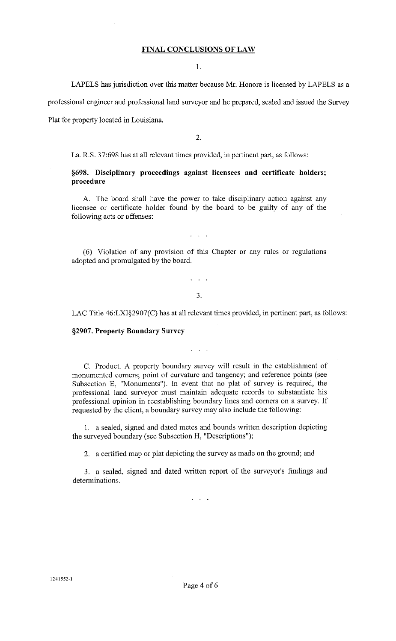## **FINAL CONCLUSIONS OF LAW**

1.

LAPELS has jurisdiction over this matter because Mr. Honore is licensed by LAPELS as a

professional engineer and professional land surveyor and he prepared, sealed and issued the Survey

Plat for property located in Louisiana.

2.

La. R.S. 37:698 has at all relevant times provided, in pertinent part, as follows:

**§698. Disciplinary proceedings against licensees and certificate holders; procedure** 

A. The board shall have the power to take disciplinary action against any licensee or certificate holder found by the board to be guilty of any of the following acts or offenses:

(6) Violation of any provision of this Chapter or any rules or regulations adopted and promulgated by the board.

 $\mathbf{r}^{\text{max}}$ 

3.

 $\mathbf{1}$   $\mathbf{1}$   $\mathbf{1}$ 

LAC Title 46:LXI§2907(C) has at all relevant times provided, in pertinent part, as follows:

## **§2907. Property Boundary Survey**

C. Product. A property boundary survey will result in the establishment of monumented comers; point of curvature and tangency; and reference points (see Subsection E, "Monuments"). In event that no plat of survey is required, the professional land surveyor must maintain adequate records to substantiate his professional opinion in reestablishing boundary lines and comers on a survey. If requested by the client, a boundary survey may also include the following:

 $\mathbf{1}$   $\mathbf{1}$   $\mathbf{1}$ 

1. a sealed, signed and dated metes and bounds written description depicting the surveyed boundary (see Subsection H, "Descriptions");

2. a certified map or plat depicting the survey as made on the ground; and

3. a sealed, signed and dated written report of the surveyor's findings and determinations.

 $\mathbf{L}^{\prime}$  ,  $\mathbf{L}^{\prime}$  ,  $\mathbf{L}^{\prime}$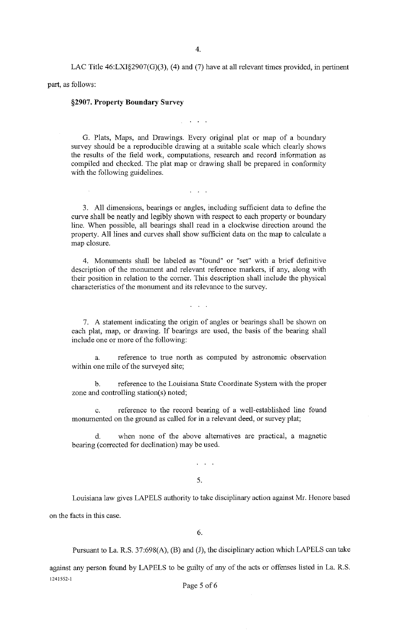LAC Title  $46: LX1§2907(G)(3)$ , (4) and (7) have at all relevant times provided, in pertinent

part, as follows:

## **§2907. Property Boundary Survey**

G. Plats, Maps, and Drawings. Every original plat or map of a boundary survey should be a reproducible drawing at a suitable scale which clearly shows the results of the field work, computations, research and record information as compiled and checked. The plat map or drawing shall be prepared in conformity with the following guidelines.

**Contract Contract** 

3. All dimensions, bearings or angles, including sufficient data to define the curve shall be neatly and legibly shown with respect to each property or boundary line. When possible, all bearings shall read in a clockwise direction around the property. All lines and curves shall show sufficient data on the map to calculate a map closure.

 $\mathbb{R}^n$  . The set

4. Monuments shall be labeled as "found" or "set" with a brief definitive description of the monument and relevant reference markers, if any, along with their position in relation to the comer. This description shall include the physical characteristics of the monument and its relevance to the survey.

7. A statement indicating the origin of angles or bearings shall be shown on each plat, map, or drawing. If bearings are used, the basis of the bearing shall include one or more of the following:

a. reference to true north as computed by astronomic observation within one mile of the surveyed site;

b. reference to the Louisiana State Coordinate System with the proper zone and controlling station(s) noted;

c. reference to the record bearing of a well-established line found monumented on the ground as called for in a relevant deed, or survey plat;

d. when none of the above alternatives are practical, a magnetic bearing (corrected for declination) may be used.

5.

 $\ddotsc$   $\ddotsc$ 

Louisiana law gives LAPELS authority to take disciplinary action against Mr. Honore based on the facts in this case.

6.

Pursuant to La. R.S. 37:698(A), (B) and (J), the disciplinary action which LAPELS can take

against any person found by LAPELS to be guilty of any of the acts or offenses listed in La. R.S. 1241552·1